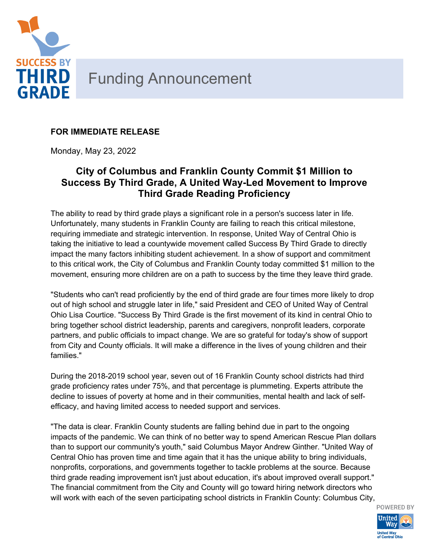

## **FOR IMMEDIATE RELEASE**

Monday, May 23, 2022

## **City of Columbus and Franklin County Commit \$1 Million to Success By Third Grade, A United Way-Led Movement to Improve Third Grade Reading Proficiency**

The ability to read by third grade plays a significant role in a person's success later in life. Unfortunately, many students in Franklin County are failing to reach this critical milestone, requiring immediate and strategic intervention. In response, United Way of Central Ohio is taking the initiative to lead a countywide movement called Success By Third Grade to directly impact the many factors inhibiting student achievement. In a show of support and commitment to this critical work, the City of Columbus and Franklin County today committed \$1 million to the movement, ensuring more children are on a path to success by the time they leave third grade.

"Students who can't read proficiently by the end of third grade are four times more likely to drop out of high school and struggle later in life," said President and CEO of United Way of Central Ohio Lisa Courtice. "Success By Third Grade is the first movement of its kind in central Ohio to bring together school district leadership, parents and caregivers, nonprofit leaders, corporate partners, and public officials to impact change. We are so grateful for today's show of support from City and County officials. It will make a difference in the lives of young children and their families."

During the 2018-2019 school year, seven out of 16 Franklin County school districts had third grade proficiency rates under 75%, and that percentage is plummeting. Experts attribute the decline to issues of poverty at home and in their communities, mental health and lack of selfefficacy, and having limited access to needed support and services.

"The data is clear. Franklin County students are falling behind due in part to the ongoing impacts of the pandemic. We can think of no better way to spend American Rescue Plan dollars than to support our community's youth," said Columbus Mayor Andrew Ginther. "United Way of Central Ohio has proven time and time again that it has the unique ability to bring individuals, nonprofits, corporations, and governments together to tackle problems at the source. Because third grade reading improvement isn't just about education, it's about improved overall support." The financial commitment from the City and County will go toward hiring network directors who will work with each of the seven participating school districts in Franklin County: Columbus City,